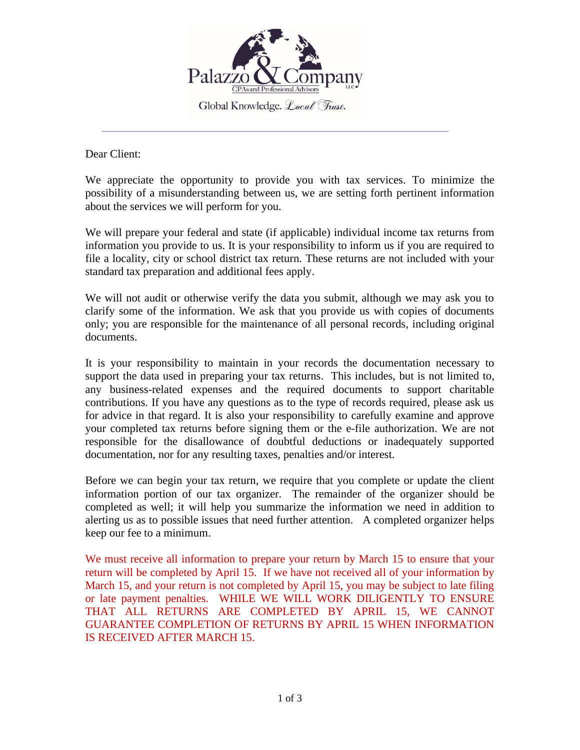

Dear Client:

We appreciate the opportunity to provide you with tax services. To minimize the possibility of a misunderstanding between us, we are setting forth pertinent information about the services we will perform for you.

We will prepare your federal and state (if applicable) individual income tax returns from information you provide to us. It is your responsibility to inform us if you are required to file a locality, city or school district tax return. These returns are not included with your standard tax preparation and additional fees apply.

We will not audit or otherwise verify the data you submit, although we may ask you to clarify some of the information. We ask that you provide us with copies of documents only; you are responsible for the maintenance of all personal records, including original documents.

It is your responsibility to maintain in your records the documentation necessary to support the data used in preparing your tax returns. This includes, but is not limited to, any business-related expenses and the required documents to support charitable contributions. If you have any questions as to the type of records required, please ask us for advice in that regard. It is also your responsibility to carefully examine and approve your completed tax returns before signing them or the e-file authorization. We are not responsible for the disallowance of doubtful deductions or inadequately supported documentation, nor for any resulting taxes, penalties and/or interest.

Before we can begin your tax return, we require that you complete or update the client information portion of our tax organizer. The remainder of the organizer should be completed as well; it will help you summarize the information we need in addition to alerting us as to possible issues that need further attention. A completed organizer helps keep our fee to a minimum.

We must receive all information to prepare your return by March 15 to ensure that your return will be completed by April 15. If we have not received all of your information by March 15, and your return is not completed by April 15, you may be subject to late filing or late payment penalties. WHILE WE WILL WORK DILIGENTLY TO ENSURE THAT ALL RETURNS ARE COMPLETED BY APRIL 15, WE CANNOT GUARANTEE COMPLETION OF RETURNS BY APRIL 15 WHEN INFORMATION IS RECEIVED AFTER MARCH 15.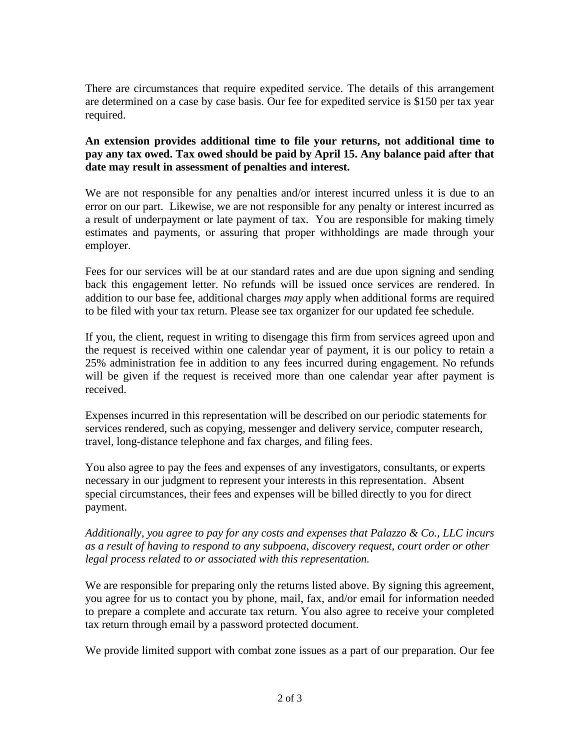There are circumstances that require expedited service. The details of this arrangement are determined on a case by case basis. Our fee for expedited service is \$150 per tax year required.

## **An extension provides additional time to file your returns, not additional time to pay any tax owed. Tax owed should be paid by April 15. Any balance paid after that date may result in assessment of penalties and interest.**

We are not responsible for any penalties and/or interest incurred unless it is due to an error on our part. Likewise, we are not responsible for any penalty or interest incurred as a result of underpayment or late payment of tax. You are responsible for making timely estimates and payments, or assuring that proper withholdings are made through your employer.

Fees for our services will be at our standard rates and are due upon signing and sending back this engagement letter. No refunds will be issued once services are rendered. In addition to our base fee, additional charges *may* apply when additional forms are required to be filed with your tax return. Please see tax organizer for our updated fee schedule.

If you, the client, request in writing to disengage this firm from services agreed upon and the request is received within one calendar year of payment, it is our policy to retain a 25% administration fee in addition to any fees incurred during engagement. No refunds will be given if the request is received more than one calendar year after payment is received.

Expenses incurred in this representation will be described on our periodic statements for services rendered, such as copying, messenger and delivery service, computer research, travel, long-distance telephone and fax charges, and filing fees.

You also agree to pay the fees and expenses of any investigators, consultants, or experts necessary in our judgment to represent your interests in this representation. Absent special circumstances, their fees and expenses will be billed directly to you for direct payment.

*Additionally, you agree to pay for any costs and expenses that Palazzo & Co., LLC incurs as a result of having to respond to any subpoena, discovery request, court order or other legal process related to or associated with this representation.*

We are responsible for preparing only the returns listed above. By signing this agreement, you agree for us to contact you by phone, mail, fax, and/or email for information needed to prepare a complete and accurate tax return. You also agree to receive your completed tax return through email by a password protected document.

We provide limited support with combat zone issues as a part of our preparation. Our fee